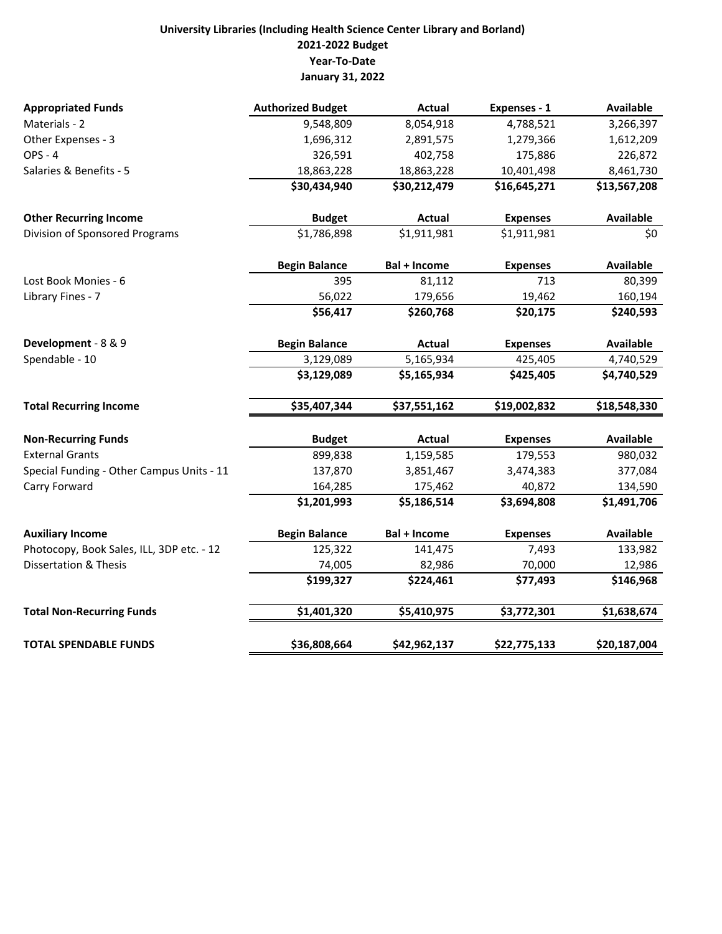## **University Libraries (Including Health Science Center Library and Borland) 2021‐2022 Budget Year‐To‐Date January 31, 2022**

| <b>Appropriated Funds</b>                 | <b>Authorized Budget</b> | <b>Actual</b>       | Expenses - 1    | <b>Available</b> |
|-------------------------------------------|--------------------------|---------------------|-----------------|------------------|
| Materials - 2                             | 9,548,809                | 8,054,918           | 4,788,521       | 3,266,397        |
| Other Expenses - 3                        | 1,696,312                | 2,891,575           | 1,279,366       | 1,612,209        |
| <b>OPS - 4</b>                            | 326,591                  | 402,758             | 175,886         | 226,872          |
| Salaries & Benefits - 5                   | 18,863,228               | 18,863,228          | 10,401,498      | 8,461,730        |
|                                           | \$30,434,940             | \$30,212,479        | \$16,645,271    | \$13,567,208     |
| <b>Other Recurring Income</b>             | <b>Budget</b>            | Actual              | <b>Expenses</b> | <b>Available</b> |
| Division of Sponsored Programs            | \$1,786,898              | \$1,911,981         | \$1,911,981     | \$0              |
|                                           | <b>Begin Balance</b>     | <b>Bal + Income</b> | <b>Expenses</b> | <b>Available</b> |
| Lost Book Monies - 6                      | 395                      | 81,112              | 713             | 80,399           |
| Library Fines - 7                         | 56,022                   | 179,656             | 19,462          | 160,194          |
|                                           | \$56,417                 | \$260,768           | \$20,175        | \$240,593        |
| Development - 8 & 9                       | <b>Begin Balance</b>     | <b>Actual</b>       | <b>Expenses</b> | <b>Available</b> |
| Spendable - 10                            | 3,129,089                | 5,165,934           | 425,405         | 4,740,529        |
|                                           | \$3,129,089              | \$5,165,934         | \$425,405       | \$4,740,529      |
| <b>Total Recurring Income</b>             | \$35,407,344             | \$37,551,162        | \$19,002,832    | \$18,548,330     |
| <b>Non-Recurring Funds</b>                | <b>Budget</b>            | Actual              | <b>Expenses</b> | <b>Available</b> |
| <b>External Grants</b>                    | 899,838                  | 1,159,585           | 179,553         | 980,032          |
| Special Funding - Other Campus Units - 11 | 137,870                  | 3,851,467           | 3,474,383       | 377,084          |
| Carry Forward                             | 164,285                  | 175,462             | 40,872          | 134,590          |
|                                           | \$1,201,993              | \$5,186,514         | \$3,694,808     | \$1,491,706      |
| <b>Auxiliary Income</b>                   | <b>Begin Balance</b>     | Bal + Income        | <b>Expenses</b> | <b>Available</b> |
| Photocopy, Book Sales, ILL, 3DP etc. - 12 | 125,322                  | 141,475             | 7,493           | 133,982          |
| Dissertation & Thesis                     | 74,005                   | 82,986              | 70,000          | 12,986           |
|                                           | \$199,327                | \$224,461           | \$77,493        | \$146,968        |
| <b>Total Non-Recurring Funds</b>          | \$1,401,320              | \$5,410,975         | \$3,772,301     | \$1,638,674      |
| <b>TOTAL SPENDABLE FUNDS</b>              | \$36,808,664             | \$42,962,137        | \$22,775,133    | \$20,187,004     |